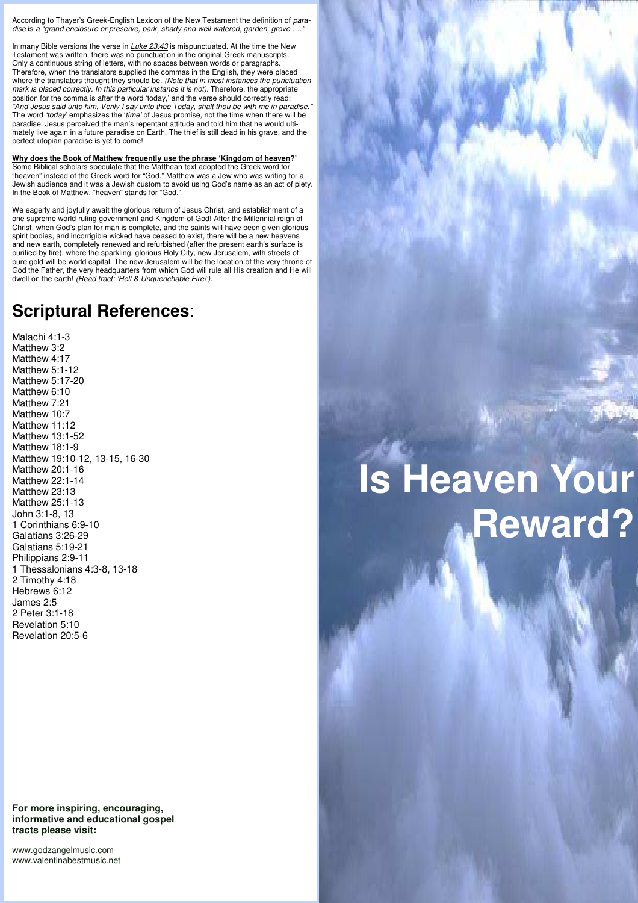According to Thayer's Greek-English Lexicon of the New Testament the definition of *paradise* is *a "grand enclosure or preserve, park, shady and well watered, garden, grove …."*

In many Bible versions the verse in *Luke 23:43* is mispunctuated. At the time the New Testament was written, there was no punctuation in the original Greek manuscripts. Only a continuous string of letters, with no spaces between words or paragraphs. Therefore, when the translators supplied the commas in the English, they were placed where the translators thought they should be. *(Note that in most instances the punctuation mark is placed correctly. In this particular instance it is not)*. Therefore, the appropriate position for the comma is after the word 'today,' and the verse should correctly read: *"And Jesus said unto him, Verily I say unto thee Today, shalt thou be with me in paradise."*  The word *'today*' emphasizes the '*time'* of Jesus promise*,* not the time when there will be paradise. Jesus perceived the man's repentant attitude and told him that he would ultimately live again in a future paradise on Earth. The thief is still dead in his grave, and the perfect utopian paradise is yet to come!

**Why does the Book of Matthew frequently use the phrase 'Kingdom of heaven?'**  Some Biblical scholars speculate that the Matthean text adopted the Greek word for "heaven" instead of the Greek word for "God." Matthew was a Jew who was writing for a Jewish audience and it was a Jewish custom to avoid using God's name as an act of piety. In the Book of Matthew, "heaven" stands for "God."

We eagerly and joyfully await the glorious return of Jesus Christ, and establishment of a one supreme world-ruling government and Kingdom of God! After the Millennial reign of Christ, when God's plan for man is complete, and the saints will have been given glorious spirit bodies, and incorrigible wicked have ceased to exist, there will be a new heavens and new earth, completely renewed and refurbished (after the present earth's surface is purified by fire), where the sparkling, glorious Holy City, new Jerusalem, with streets of pure gold will be world capital. The new Jerusalem will be the location of the very throne of God the Father, the very headquarters from which God will rule all His creation and He will dwell on the earth! *(Read tract: 'Hell & Unquenchable Fire!').*

## **Scriptural References**:

Malachi 4:1-3 Matthew 3:2 Matthew 4:17 Matthew 5:1-12 Matthew 5:17-20 Matthew 6:10 Matthew 7:21 Matthew 10:7 Matthew 11:12 Matthew 13:1-52 Matthew 18:1-9 Matthew 19:10-12, 13-15, 16-30 Matthew 20:1-16 Matthew 22:1-14 Matthew 23:13 Matthew 25:1-13 John 3:1-8, 13 1 Corinthians 6:9-10 Galatians 3:26-29 Galatians 5:19-21 Philippians 2:9-11 1 Thessalonians 4:3-8, 13-18 2 Timothy 4:18 Hebrews 6:12 James 2:5 2 Peter 3:1-18 Revelation 5:10 Revelation 20:5-6

## **For more inspiring, encouraging, informative and educational gospel tracts please visit:**

www.godzangelmusic.com www.valentinabestmusic.net

## **Is Heaven Your Reward?**